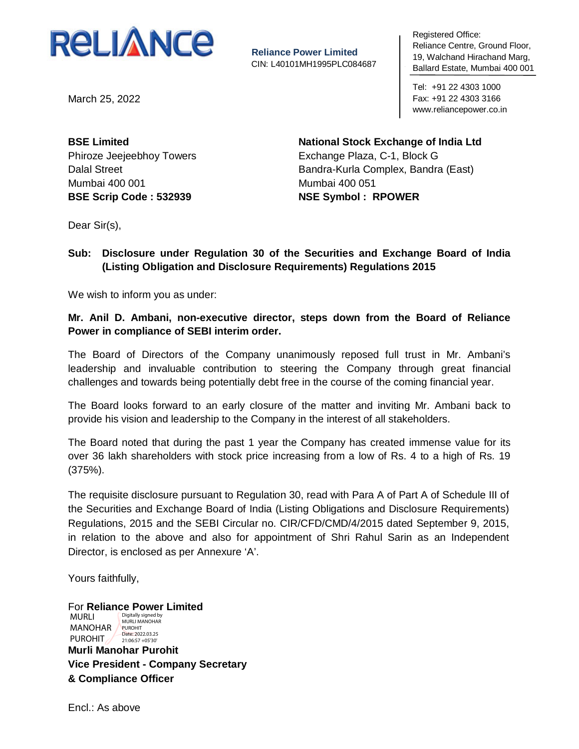

**Reliance Power Limited** CIN: L40101MH1995PLC084687 negistered United<br>Reliance Centre, Ground Floor, 19, Walchand Hirachand Marg, To, Walonana H Ballard Estate, Mumbai 400 001 Registered Office:

Tel: +91 22 4303 1000 Fax: +91 22 4303 3166 www.reliancepower.co.in

March 25, 2022

**BSE Limited** Phiroze Jeejeebhoy Towers Dalal Street Mumbai 400 001 **BSE Scrip Code : 532939**

**National Stock Exchange of India Ltd** Exchange Plaza, C-1, Block G Bandra-Kurla Complex, Bandra (East) Mumbai 400 051 **NSE Symbol : RPOWER**

Dear Sir(s),

### **Sub: Disclosure under Regulation 30 of the Securities and Exchange Board of India (Listing Obligation and Disclosure Requirements) Regulations 2015**

We wish to inform you as under:

**Mr. Anil D. Ambani, non-executive director, steps down from the Board of Reliance Power in compliance of SEBI interim order.**

The Board of Directors of the Company unanimously reposed full trust in Mr. Ambani's leadership and invaluable contribution to steering the Company through great financial challenges and towards being potentially debt free in the course of the coming financial year.

The Board looks forward to an early closure of the matter and inviting Mr. Ambani back to provide his vision and leadership to the Company in the interest of all stakeholders.

The Board noted that during the past 1 year the Company has created immense value for its over 36 lakh shareholders with stock price increasing from a low of Rs. 4 to a high of Rs. 19 (375%).

The requisite disclosure pursuant to Regulation 30, read with Para A of Part A of Schedule III of the Securities and Exchange Board of India (Listing Obligations and Disclosure Requirements) Regulations, 2015 and the SEBI Circular no. CIR/CFD/CMD/4/2015 dated September 9, 2015, in relation to the above and also for appointment of Shri Rahul Sarin as an Independent Director, is enclosed as per Annexure 'A'.

Yours faithfully,

For **Reliance Power Limited Murli Manohar Purohit Vice President - Company Secretary & Compliance Officer** MURLI MANOHAR PUROHIT PUROHIT Digitally signed by MURLI MANOHAR Date: 2022.03.25 21:06:57 +05'30'

Encl.: As above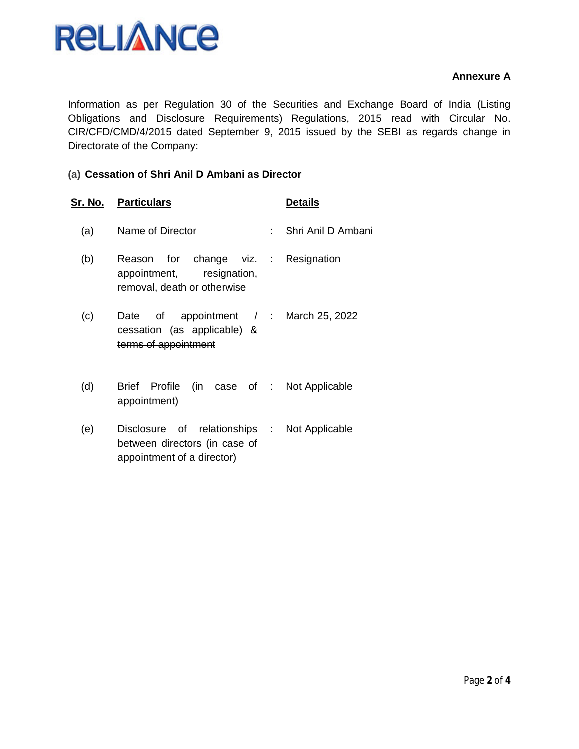

#### **Annexure A**

Information as per Regulation 30 of the Securities and Exchange Board of India (Listing Obligations and Disclosure Requirements) Regulations, 2015 read with Circular No. CIR/CFD/CMD/4/2015 dated September 9, 2015 issued by the SEBI as regards change in Directorate of the Company:

#### **(a) Cessation of Shri Anil D Ambani as Director**

|     | <u>Sr. No. Particulars</u>                                                                                | <b>Details</b>       |
|-----|-----------------------------------------------------------------------------------------------------------|----------------------|
| (a) | Name of Director                                                                                          | : Shri Anil D Ambani |
| (b) | Reason for change viz. : Resignation<br>appointment, resignation,<br>removal, death or otherwise          |                      |
| (c) | Date of appointment $\rightarrow$ : March 25, 2022<br>cessation (as applicable) &<br>terms of appointment |                      |
| (d) | Profile (in case of : Not Applicable<br><b>Brief</b><br>appointment)                                      |                      |
| (e) | Disclosure of relationships :<br>between directors (in case of<br>appointment of a director)              | Not Applicable       |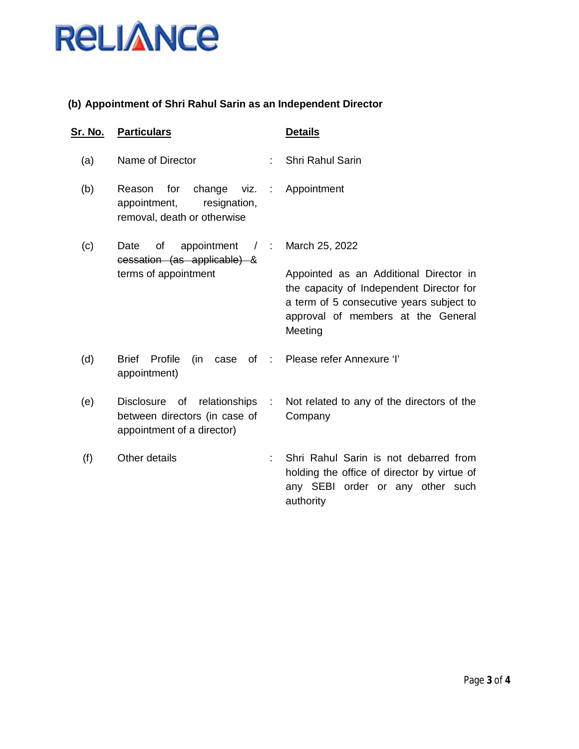

## **(b) Appointment of Shri Rahul Sarin as an Independent Director**

| Sr. No. | <b>Particulars</b>                                                                                     |                                                                                                                                                                                 | <b>Details</b>                                                                                                                        |
|---------|--------------------------------------------------------------------------------------------------------|---------------------------------------------------------------------------------------------------------------------------------------------------------------------------------|---------------------------------------------------------------------------------------------------------------------------------------|
| (a)     | Name of Director                                                                                       | ÷.                                                                                                                                                                              | Shri Rahul Sarin                                                                                                                      |
| (b)     | change<br>for<br>Reason<br>appointment,<br>resignation,<br>removal, death or otherwise                 |                                                                                                                                                                                 | viz. : Appointment                                                                                                                    |
| (c)     | of<br>appointment<br>Date<br>$\frac{1}{2}$<br>cessation (as applicable) &                              |                                                                                                                                                                                 | March 25, 2022                                                                                                                        |
|         | terms of appointment                                                                                   | Appointed as an Additional Director in<br>the capacity of Independent Director for<br>a term of 5 consecutive years subject to<br>approval of members at the General<br>Meeting |                                                                                                                                       |
| (d)     | Profile<br><b>Brief</b><br>(in<br>case<br>appointment)                                                 |                                                                                                                                                                                 | of : Please refer Annexure 'l'                                                                                                        |
| (e)     | <b>Disclosure</b><br>of relationships :<br>between directors (in case of<br>appointment of a director) |                                                                                                                                                                                 | Not related to any of the directors of the<br>Company                                                                                 |
| (f)     | Other details                                                                                          | ÷                                                                                                                                                                               | Shri Rahul Sarin is not debarred from<br>holding the office of director by virtue of<br>any SEBI order or any other such<br>authority |